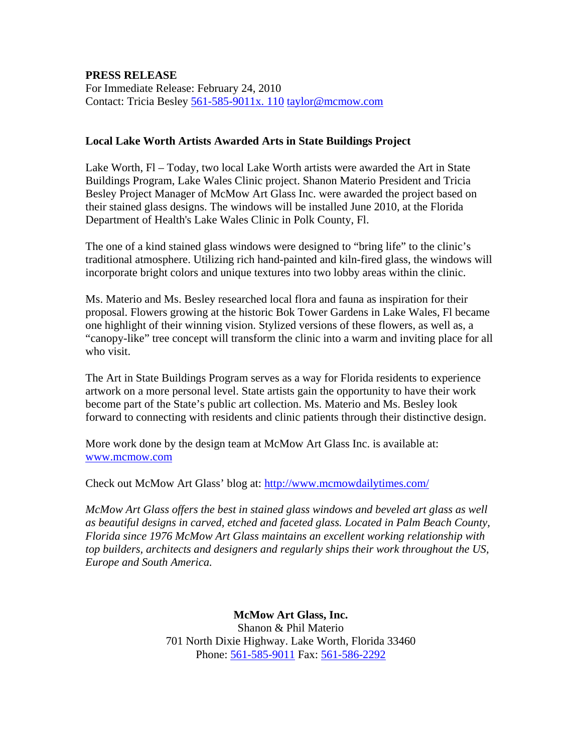## **PRESS RELEASE**

For Immediate Release: February 24, 2010 Contact: Tricia Besley 561-585-9011x. 110 [taylor@mcmow.com](mailto:taylor@mcmow.com)

## **Local Lake Worth Artists Awarded Arts in State Buildings Project**

Lake Worth, Fl – Today, two local Lake Worth artists were awarded the Art in State Buildings Program, Lake Wales Clinic project. Shanon Materio President and Tricia Besley Project Manager of McMow Art Glass Inc. were awarded the project based on their stained glass designs. The windows will be installed June 2010, at the Florida Department of Health's Lake Wales Clinic in Polk County, Fl.

The one of a kind stained glass windows were designed to "bring life" to the clinic's traditional atmosphere. Utilizing rich hand-painted and kiln-fired glass, the windows will incorporate bright colors and unique textures into two lobby areas within the clinic.

Ms. Materio and Ms. Besley researched local flora and fauna as inspiration for their proposal. Flowers growing at the historic Bok Tower Gardens in Lake Wales, Fl became one highlight of their winning vision. Stylized versions of these flowers, as well as, a "canopy-like" tree concept will transform the clinic into a warm and inviting place for all who visit.

The Art in State Buildings Program serves as a way for Florida residents to experience artwork on a more personal level. State artists gain the opportunity to have their work become part of the State's public art collection. Ms. Materio and Ms. Besley look forward to connecting with residents and clinic patients through their distinctive design.

More work done by the design team at McMow Art Glass Inc. is available at: [www.mcmow.com](http://www.mcmow.com/)

Check out McMow Art Glass' blog at:<http://www.mcmowdailytimes.com/>

*McMow Art Glass offers the best in stained glass windows and beveled art glass as well as beautiful designs in carved, etched and faceted glass. Located in Palm Beach County, Florida since 1976 McMow Art Glass maintains an excellent working relationship with top builders, architects and designers and regularly ships their work throughout the US, Europe and South America.* 

> **McMow Art Glass, Inc.** Shanon & Phil Materio 701 North Dixie Highway. Lake Worth, Florida 33460 Phone: 561-585-9011 Fax: 561-586-2292